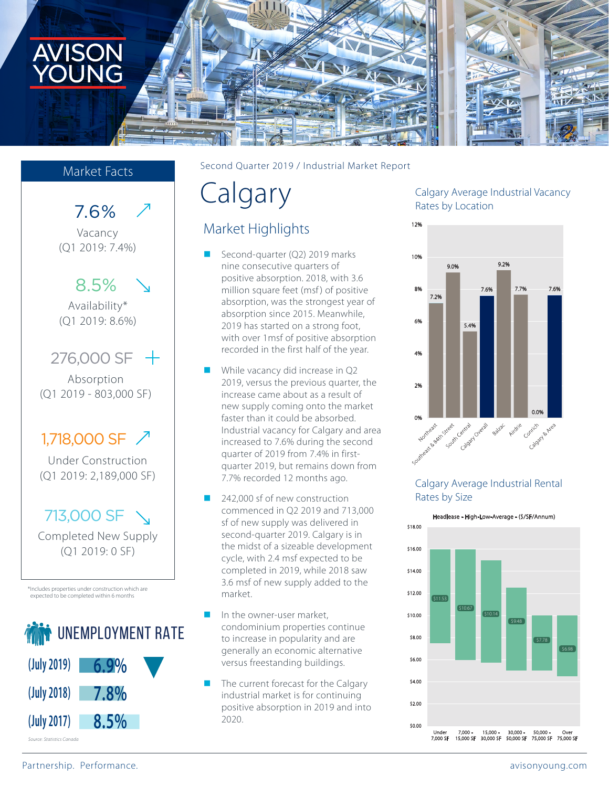

## Market Facts

7.6%

Vacancy (Q1 2019: 7.4%)

8.5%

Availability\* (Q1 2019: 8.6%)

276,000 SF

Absorption (Q1 2019 - 803,000 SF)

# 1,718,000 SF /

Under Construction (Q1 2019: 2,189,000 SF)

# 713,000 SF

Completed New Supply (Q1 2019: 0 SF)

\*Includes properties under construction which are expected to be completed within 6 months



Second Quarter 2019 / Industrial Market Report

# Calgary

# Market Highlights

- Second-quarter (Q2) 2019 marks nine consecutive quarters of positive absorption. 2018, with 3.6 million square feet (msf) of positive absorption, was the strongest year of absorption since 2015. Meanwhile, 2019 has started on a strong foot, with over 1msf of positive absorption recorded in the first half of the year.
- While vacancy did increase in Q2 2019, versus the previous quarter, the increase came about as a result of new supply coming onto the market faster than it could be absorbed. Industrial vacancy for Calgary and area increased to 7.6% during the second quarter of 2019 from 7.4% in firstquarter 2019, but remains down from 7.7% recorded 12 months ago.
- 242,000 sf of new construction commenced in Q2 2019 and 713,000 sf of new supply was delivered in second-quarter 2019. Calgary is in the midst of a sizeable development cycle, with 2.4 msf expected to be completed in 2019, while 2018 saw 3.6 msf of new supply added to the market.
- In the owner-user market, condominium properties continue to increase in popularity and are generally an economic alternative versus freestanding buildings.
- The current forecast for the Calgary industrial market is for continuing positive absorption in 2019 and into 2020.

### Calgary Average Industrial Vacancy Rates by Location



#### Calgary Average Industrial Rental Rates by Size



Partnership. Performance. All the states of the states of the states of the states of the states of the states of the states of the states of the states of the states of the states of the states of the states of the states